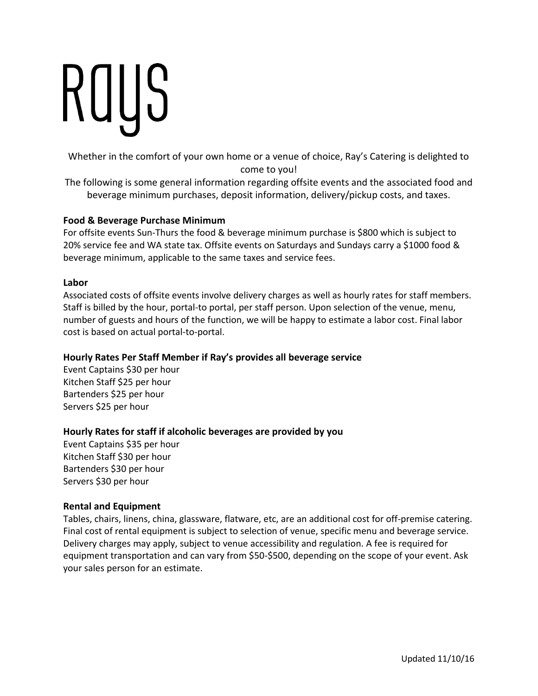# ROUS

Whether in the comfort of your own home or a venue of choice, Ray's Catering is delighted to come to you!

The following is some general information regarding offsite events and the associated food and beverage minimum purchases, deposit information, delivery/pickup costs, and taxes.

# **Food & Beverage Purchase Minimum**

For offsite events Sun-Thurs the food & beverage minimum purchase is \$800 which is subject to 20% service fee and WA state tax. Offsite events on Saturdays and Sundays carry a \$1000 food & beverage minimum, applicable to the same taxes and service fees.

# **Labor**

Associated costs of offsite events involve delivery charges as well as hourly rates for staff members. Staff is billed by the hour, portal-to portal, per staff person. Upon selection of the venue, menu, number of guests and hours of the function, we will be happy to estimate a labor cost. Final labor cost is based on actual portal-to-portal.

# **Hourly Rates Per Staff Member if Ray's provides all beverage service**

Event Captains \$30 per hour Kitchen Staff \$25 per hour Bartenders \$25 per hour Servers \$25 per hour

# **Hourly Rates for staff if alcoholic beverages are provided by you**

Event Captains \$35 per hour Kitchen Staff \$30 per hour Bartenders \$30 per hour Servers \$30 per hour

# **Rental and Equipment**

Tables, chairs, linens, china, glassware, flatware, etc, are an additional cost for off-premise catering. Final cost of rental equipment is subject to selection of venue, specific menu and beverage service. Delivery charges may apply, subject to venue accessibility and regulation. A fee is required for equipment transportation and can vary from \$50-\$500, depending on the scope of your event. Ask your sales person for an estimate.